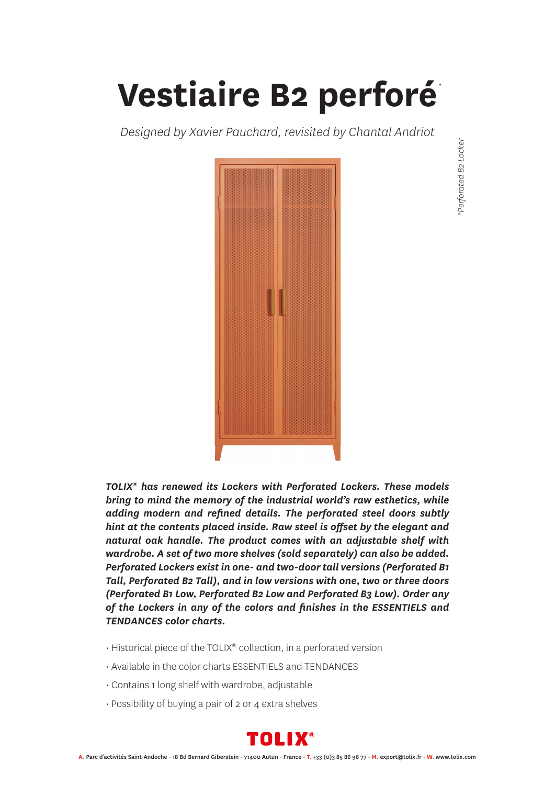## **Vestiaire B2 perforé** *\**

*Designed by Xavier Pauchard, revisited by Chantal Andriot*



*TOLIX® has renewed its Lockers with Perforated Lockers. These models bring to mind the memory of the industrial world's raw esthetics, while adding modern and refined details. The perforated steel doors subtly hint at the contents placed inside. Raw steel is offset by the elegant and natural oak handle. The product comes with an adjustable shelf with wardrobe. A set of two more shelves (sold separately) can also be added. Perforated Lockers exist in one- and two-door tall versions (Perforated B1 Tall, Perforated B2 Tall), and in low versions with one, two or three doors (Perforated B1 Low, Perforated B2 Low and Perforated B3 Low). Order any of the Lockers in any of the colors and finishes in the ESSENTIELS and TENDANCES color charts.*

- Historical piece of the TOLIX® collection, in a perforated version
- Available in the color charts ESSENTIELS and TENDANCES
- Contains 1 long shelf with wardrobe, adjustable
- Possibility of buying a pair of 2 or 4 extra shelves